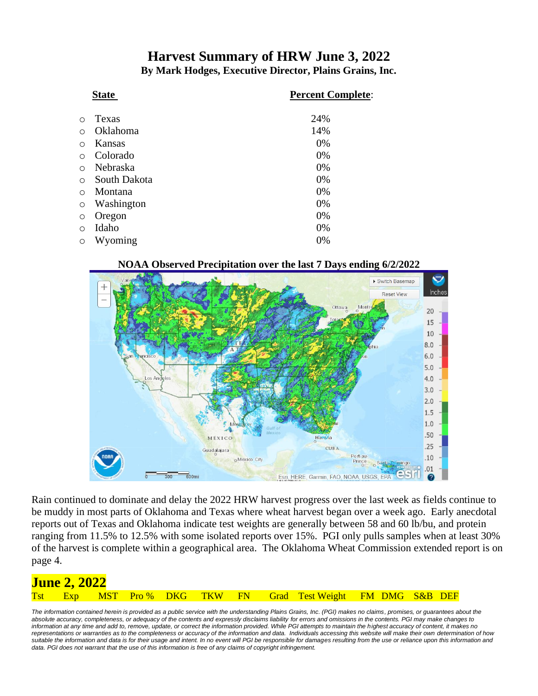## **Harvest Summary of HRW June 3, 2022 By Mark Hodges, Executive Director, Plains Grains, Inc.**

|            | <b>State</b> | <b>Percent Complete:</b> |
|------------|--------------|--------------------------|
| ∩          | Texas        | 24%                      |
| $\bigcirc$ | Oklahoma     | 14%                      |
| $\circ$    | Kansas       | 0%                       |
| $\circ$    | Colorado     | 0%                       |
| $\bigcirc$ | Nebraska     | 0%                       |
| $\circ$    | South Dakota | 0%                       |
| $\bigcirc$ | Montana      | 0%                       |
| $\circ$    | Washington   | 0%                       |
| $\circ$    | Oregon       | 0%                       |
| $\circ$    | Idaho        | 0%                       |
| $\circ$    | Wyoming      | 0%                       |

#### **NOAA Observed Precipitation over the last 7 Days ending 6/2/2022**



Rain continued to dominate and delay the 2022 HRW harvest progress over the last week as fields continue to be muddy in most parts of Oklahoma and Texas where wheat harvest began over a week ago. Early anecdotal reports out of Texas and Oklahoma indicate test weights are generally between 58 and 60 lb/bu, and protein ranging from 11.5% to 12.5% with some isolated reports over 15%. PGI only pulls samples when at least 30% of the harvest is complete within a geographical area. The Oklahoma Wheat Commission extended report is on page 4.

| <u>June 2, 2022</u> |  |  |  |                                                             |  |
|---------------------|--|--|--|-------------------------------------------------------------|--|
|                     |  |  |  | Tst Exp MST Pro% DKG TKW FN Grad Test Weight FM DMG S&B DEF |  |

The information contained herein is provided as a public service with the understanding Plains Grains, Inc. (PGI) makes no claims, promises, or guarantees about the *absolute accuracy, completeness, or adequacy of the contents and expressly disclaims liability for errors and omissions in the contents. PGI may make changes to information at any time and add to, remove, update, or correct the information provided. While PGI attempts to maintain the highest accuracy of content, it makes no representations or warranties as to the completeness or accuracy of the information and data. Individuals accessing this website will make their own determination of how*  suitable the information and data is for their usage and intent. In no event will PGI be responsible for damages resulting from the use or reliance upon this information and data. PGI does not warrant that the use of this information is free of any claims of copyright infringement.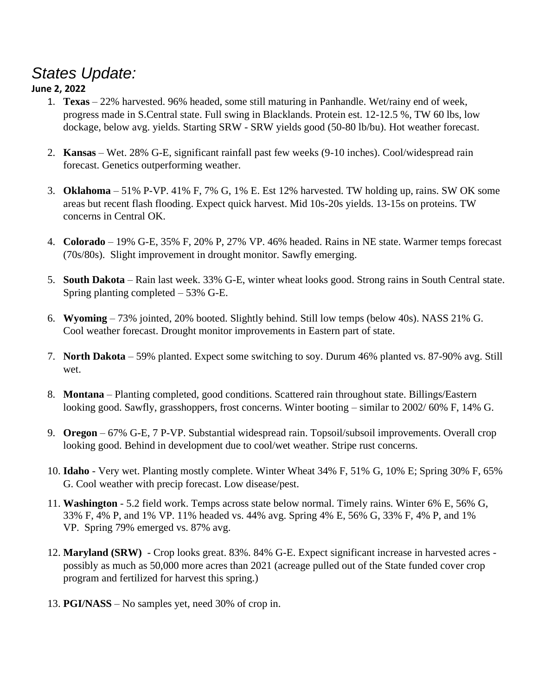# *States Update:*

## **June 2, 2022**

- 1. **Texas** 22% harvested. 96% headed, some still maturing in Panhandle. Wet/rainy end of week, progress made in S.Central state. Full swing in Blacklands. Protein est. 12-12.5 %, TW 60 lbs, low dockage, below avg. yields. Starting SRW - SRW yields good (50-80 lb/bu). Hot weather forecast.
- 2. **Kansas**  Wet. 28% G-E, significant rainfall past few weeks (9-10 inches). Cool/widespread rain forecast. Genetics outperforming weather.
- 3. **Oklahoma** 51% P-VP. 41% F, 7% G, 1% E. Est 12% harvested. TW holding up, rains. SW OK some areas but recent flash flooding. Expect quick harvest. Mid 10s-20s yields. 13-15s on proteins. TW concerns in Central OK.
- 4. **Colorado** 19% G-E, 35% F, 20% P, 27% VP. 46% headed. Rains in NE state. Warmer temps forecast (70s/80s). Slight improvement in drought monitor. Sawfly emerging.
- 5. **South Dakota** Rain last week. 33% G-E, winter wheat looks good. Strong rains in South Central state. Spring planting completed – 53% G-E.
- 6. **Wyoming** 73% jointed, 20% booted. Slightly behind. Still low temps (below 40s). NASS 21% G. Cool weather forecast. Drought monitor improvements in Eastern part of state.
- 7. **North Dakota** 59% planted. Expect some switching to soy. Durum 46% planted vs. 87-90% avg. Still wet.
- 8. **Montana** Planting completed, good conditions. Scattered rain throughout state. Billings/Eastern looking good. Sawfly, grasshoppers, frost concerns. Winter booting – similar to 2002/ 60% F, 14% G.
- 9. **Oregon** 67% G-E, 7 P-VP. Substantial widespread rain. Topsoil/subsoil improvements. Overall crop looking good. Behind in development due to cool/wet weather. Stripe rust concerns.
- 10. **Idaho** Very wet. Planting mostly complete. Winter Wheat 34% F, 51% G, 10% E; Spring 30% F, 65% G. Cool weather with precip forecast. Low disease/pest.
- 11. **Washington** 5.2 field work. Temps across state below normal. Timely rains. Winter 6% E, 56% G, 33% F, 4% P, and 1% VP. 11% headed vs. 44% avg. Spring 4% E, 56% G, 33% F, 4% P, and 1% VP. Spring 79% emerged vs. 87% avg.
- 12. **Maryland (SRW)**  Crop looks great. 83%. 84% G-E. Expect significant increase in harvested acres possibly as much as 50,000 more acres than 2021 (acreage pulled out of the State funded cover crop program and fertilized for harvest this spring.)
- 13. **PGI/NASS** No samples yet, need 30% of crop in.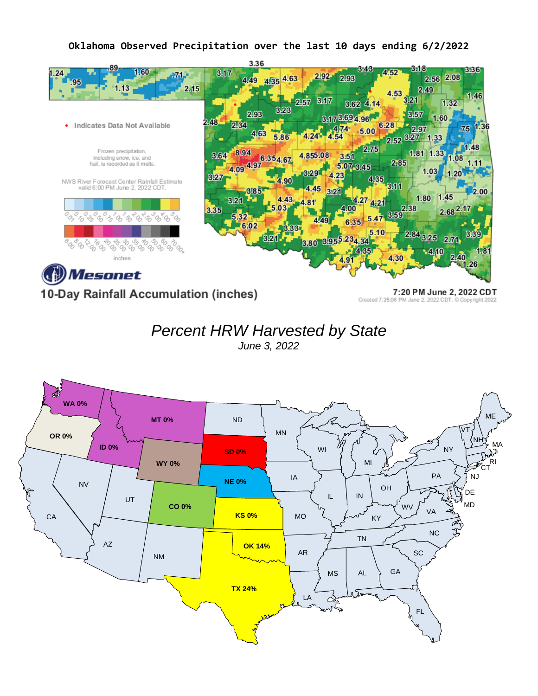#### **Oklahoma Observed Precipitation over the last 10 days ending 6/2/2022**



10-Day Rainfall Accumulation (inches)

7:20 PM June 2, 2022 CDT Created 7:25:06 PM June 2, 2022 CDT. C Copyright 2022



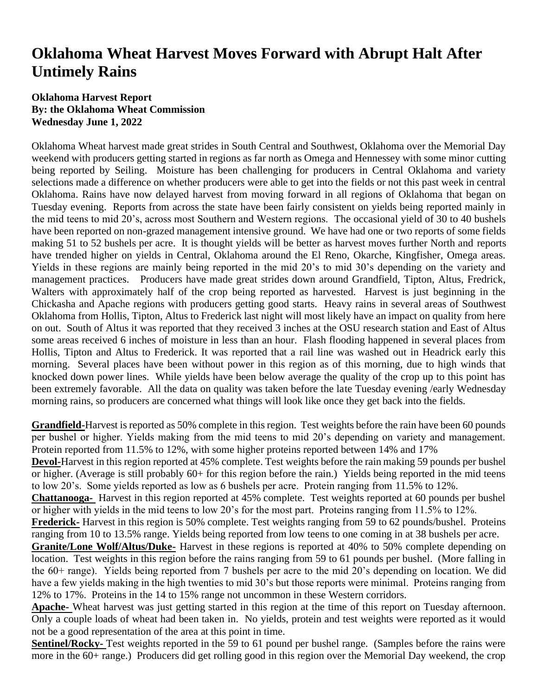## **Oklahoma Wheat Harvest Moves Forward with Abrupt Halt After Untimely Rains**

### **Oklahoma Harvest Report By: the Oklahoma Wheat Commission Wednesday June 1, 2022**

Oklahoma Wheat harvest made great strides in South Central and Southwest, Oklahoma over the Memorial Day weekend with producers getting started in regions as far north as Omega and Hennessey with some minor cutting being reported by Seiling. Moisture has been challenging for producers in Central Oklahoma and variety selections made a difference on whether producers were able to get into the fields or not this past week in central Oklahoma. Rains have now delayed harvest from moving forward in all regions of Oklahoma that began on Tuesday evening. Reports from across the state have been fairly consistent on yields being reported mainly in the mid teens to mid 20's, across most Southern and Western regions. The occasional yield of 30 to 40 bushels have been reported on non-grazed management intensive ground. We have had one or two reports of some fields making 51 to 52 bushels per acre. It is thought yields will be better as harvest moves further North and reports have trended higher on yields in Central, Oklahoma around the El Reno, Okarche, Kingfisher, Omega areas. Yields in these regions are mainly being reported in the mid 20's to mid 30's depending on the variety and management practices. Producers have made great strides down around Grandfield, Tipton, Altus, Fredrick, Walters with approximately half of the crop being reported as harvested. Harvest is just beginning in the Chickasha and Apache regions with producers getting good starts. Heavy rains in several areas of Southwest Oklahoma from Hollis, Tipton, Altus to Frederick last night will most likely have an impact on quality from here on out. South of Altus it was reported that they received 3 inches at the OSU research station and East of Altus some areas received 6 inches of moisture in less than an hour. Flash flooding happened in several places from Hollis, Tipton and Altus to Frederick. It was reported that a rail line was washed out in Headrick early this morning. Several places have been without power in this region as of this morning, due to high winds that knocked down power lines. While yields have been below average the quality of the crop up to this point has been extremely favorable. All the data on quality was taken before the late Tuesday evening /early Wednesday morning rains, so producers are concerned what things will look like once they get back into the fields.

**Grandfield-**Harvest is reported as 50% complete in this region. Test weights before the rain have been 60 pounds per bushel or higher. Yields making from the mid teens to mid 20's depending on variety and management. Protein reported from 11.5% to 12%, with some higher proteins reported between 14% and 17%

**Devol-**Harvest in this region reported at 45% complete. Test weights before the rain making 59 pounds per bushel or higher. (Average is still probably 60+ for this region before the rain.) Yields being reported in the mid teens to low 20's. Some yields reported as low as 6 bushels per acre. Protein ranging from 11.5% to 12%.

**Chattanooga***-* Harvest in this region reported at 45% complete. Test weights reported at 60 pounds per bushel or higher with yields in the mid teens to low 20's for the most part. Proteins ranging from 11.5% to 12%.

**Frederick-** Harvest in this region is 50% complete. Test weights ranging from 59 to 62 pounds/bushel. Proteins ranging from 10 to 13.5% range. Yields being reported from low teens to one coming in at 38 bushels per acre.

**Granite/Lone Wolf/Altus/Duke-** Harvest in these regions is reported at 40% to 50% complete depending on location. Test weights in this region before the rains ranging from 59 to 61 pounds per bushel. (More falling in the 60+ range). Yields being reported from 7 bushels per acre to the mid 20's depending on location. We did have a few yields making in the high twenties to mid 30's but those reports were minimal. Proteins ranging from 12% to 17%. Proteins in the 14 to 15% range not uncommon in these Western corridors.

**Apache-** Wheat harvest was just getting started in this region at the time of this report on Tuesday afternoon. Only a couple loads of wheat had been taken in. No yields, protein and test weights were reported as it would not be a good representation of the area at this point in time.

**Sentinel/Rocky-** Test weights reported in the 59 to 61 pound per bushel range. (Samples before the rains were more in the 60+ range.) Producers did get rolling good in this region over the Memorial Day weekend, the crop